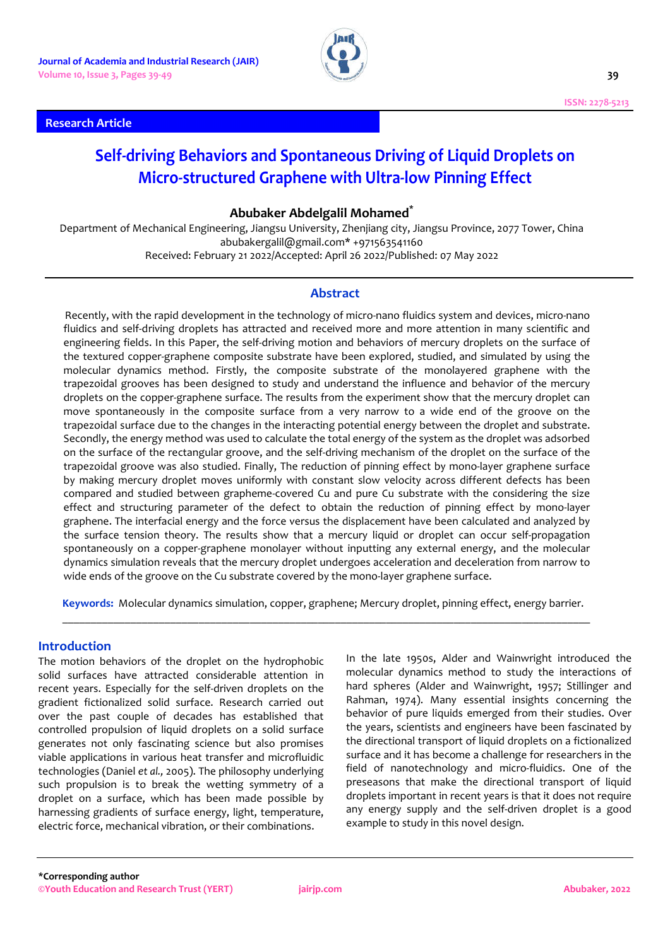



# **Self-driving Behaviors and Spontaneous Driving of Liquid Droplets on Micro-structured Graphene with Ultra-low Pinning Effect**

## **Abubaker Abdelgalil Mohamed\***

Department of Mechanical Engineering, Jiangsu University, Zhenjiang city, Jiangsu Province, 2077 Tower, China abubakergalil@gmail.com\* +971563541160 Received: February 21 2022/Accepted: April 26 2022/Published: 07 May 2022

# **Abstract**

Recently, with the rapid development in the technology of micro-nano fluidics system and devices, micro-nano fluidics and self-driving droplets has attracted and received more and more attention in many scientific and engineering fields. In this Paper, the self-driving motion and behaviors of mercury droplets on the surface of the textured copper-graphene composite substrate have been explored, studied, and simulated by using the molecular dynamics method. Firstly, the composite substrate of the monolayered graphene with the trapezoidal grooves has been designed to study and understand the influence and behavior of the mercury droplets on the copper-graphene surface. The results from the experiment show that the mercury droplet can move spontaneously in the composite surface from a very narrow to a wide end of the groove on the trapezoidal surface due to the changes in the interacting potential energy between the droplet and substrate. Secondly, the energy method was used to calculate the total energy of the system as the droplet was adsorbed on the surface of the rectangular groove, and the self-driving mechanism of the droplet on the surface of the trapezoidal groove was also studied. Finally, The reduction of pinning effect by mono-layer graphene surface by making mercury droplet moves uniformly with constant slow velocity across different defects has been compared and studied between grapheme-covered Cu and pure Cu substrate with the considering the size effect and structuring parameter of the defect to obtain the reduction of pinning effect by mono-layer graphene. The interfacial energy and the force versus the displacement have been calculated and analyzed by the surface tension theory. The results show that a mercury liquid or droplet can occur self-propagation spontaneously on a copper-graphene monolayer without inputting any external energy, and the molecular dynamics simulation reveals that the mercury droplet undergoes acceleration and deceleration from narrow to wide ends of the groove on the Cu substrate covered by the mono-layer graphene surface.

**Keywords:** Molecular dynamics simulation, copper, graphene; Mercury droplet, pinning effect, energy barrier. \_\_\_\_\_\_\_\_\_\_\_\_\_\_\_\_\_\_\_\_\_\_\_\_\_\_\_\_\_\_\_\_\_\_\_\_\_\_\_\_\_\_\_\_\_\_\_\_\_\_\_\_\_\_\_\_\_\_\_\_\_\_\_\_\_\_\_\_\_\_\_\_\_\_\_\_\_\_\_\_\_\_\_\_\_\_\_\_\_\_\_\_\_

## **Introduction**

The motion behaviors of the droplet on the hydrophobic solid surfaces have attracted considerable attention in recent years. Especially for the self-driven droplets on the gradient fictionalized solid surface. Research carried out over the past couple of decades has established that controlled propulsion of liquid droplets on a solid surface generates not only fascinating science but also promises viable applications in various heat transfer and microfluidic technologies (Daniel *et al.,* 2005). The philosophy underlying such propulsion is to break the wetting symmetry of a droplet on a surface, which has been made possible by harnessing gradients of surface energy, light, temperature, electric force, mechanical vibration, or their combinations.

In the late 1950s, Alder and Wainwright introduced the molecular dynamics method to study the interactions of hard spheres (Alder and Wainwright, 1957; Stillinger and Rahman, 1974). Many essential insights concerning the behavior of pure liquids emerged from their studies. Over the years, scientists and engineers have been fascinated by the directional transport of liquid droplets on a fictionalized surface and it has become a challenge for researchers in the field of nanotechnology and micro-fluidics. One of the preseasons that make the directional transport of liquid droplets important in recent years is that it does not require any energy supply and the self-driven droplet is a good example to study in this novel design.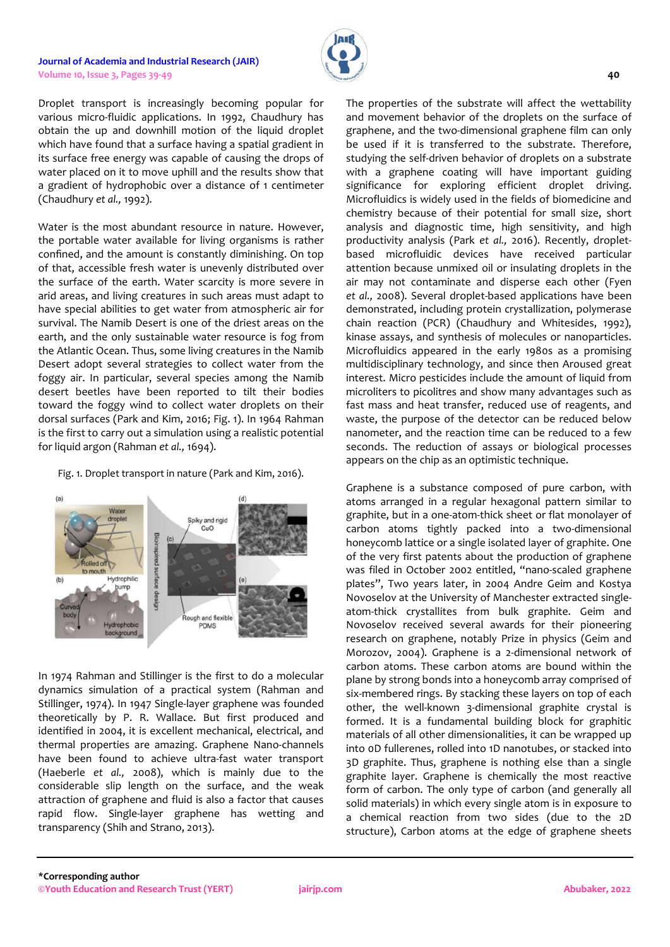Droplet transport is increasingly becoming popular for various micro-fluidic applications. In 1992, Chaudhury has obtain the up and downhill motion of the liquid droplet which have found that a surface having a spatial gradient in its surface free energy was capable of causing the drops of water placed on it to move uphill and the results show that a gradient of hydrophobic over a distance of 1 centimeter (Chaudhury *et al.,* 1992).

Water is the most abundant resource in nature. However, the portable water available for living organisms is rather confined, and the amount is constantly diminishing. On top of that, accessible fresh water is unevenly distributed over the surface of the earth. Water scarcity is more severe in arid areas, and living creatures in such areas must adapt to have special abilities to get water from atmospheric air for survival. The Namib Desert is one of the driest areas on the earth, and the only sustainable water resource is fog from the Atlantic Ocean. Thus, some living creatures in the Namib Desert adopt several strategies to collect water from the foggy air. In particular, several species among the Namib desert beetles have been reported to tilt their bodies toward the foggy wind to collect water droplets on their dorsal surfaces (Park and Kim, 2016; Fig. 1). In 1964 Rahman is the first to carry out a simulation using a realistic potential for liquid argon (Rahman *et al.,* 1694).

Fig. 1. Droplet transport in nature (Park and Kim, 2016).



In 1974 Rahman and Stillinger is the first to do a molecular dynamics simulation of a practical system (Rahman and Stillinger, 1974). In 1947 Single-layer graphene was founded theoretically by P. R. Wallace. But first produced and identified in 2004, it is excellent mechanical, electrical, and thermal properties are amazing. Graphene Nano-channels have been found to achieve ultra-fast water transport (Haeberle *et al.,* 2008), which is mainly due to the considerable slip length on the surface, and the weak attraction of graphene and fluid is also a factor that causes rapid flow. Single-layer graphene has wetting and transparency (Shih and Strano, 2013).

The properties of the substrate will affect the wettability and movement behavior of the droplets on the surface of graphene, and the two-dimensional graphene film can only be used if it is transferred to the substrate. Therefore, studying the self-driven behavior of droplets on a substrate with a graphene coating will have important guiding significance for exploring efficient droplet driving. Microfluidics is widely used in the fields of biomedicine and chemistry because of their potential for small size, short analysis and diagnostic time, high sensitivity, and high productivity analysis (Park *et al.,* 2016). Recently, dropletbased microfluidic devices have received particular attention because unmixed oil or insulating droplets in the air may not contaminate and disperse each other (Fyen *et al.,* 2008). Several droplet-based applications have been demonstrated, including protein crystallization, polymerase chain reaction (PCR) (Chaudhury and Whitesides, 1992), kinase assays, and synthesis of molecules or nanoparticles. Microfluidics appeared in the early 1980s as a promising multidisciplinary technology, and since then Aroused great interest. Micro pesticides include the amount of liquid from microliters to picolitres and show many advantages such as fast mass and heat transfer, reduced use of reagents, and waste, the purpose of the detector can be reduced below nanometer, and the reaction time can be reduced to a few seconds. The reduction of assays or biological processes appears on the chip as an optimistic technique.

Graphene is a substance composed of pure carbon, with atoms arranged in a regular hexagonal pattern similar to graphite, but in a one-atom-thick sheet or flat monolayer of carbon atoms tightly packed into a two-dimensional honeycomb lattice or a single isolated layer of graphite. One of the very first patents about the production of graphene was filed in October 2002 entitled, "nano-scaled graphene plates", Two years later, in 2004 Andre Geim and Kostya Novoselov at the University of Manchester extracted singleatom-thick crystallites from bulk graphite. Geim and Novoselov received several awards for their pioneering research on graphene, notably Prize in physics (Geim and Morozov, 2004). Graphene is a 2-dimensional network of carbon atoms. These carbon atoms are bound within the plane by strong bonds into a honeycomb array comprised of six-membered rings. By stacking these layers on top of each other, the well-known 3-dimensional graphite crystal is formed. It is a fundamental building block for graphitic materials of all other dimensionalities, it can be wrapped up into 0D fullerenes, rolled into 1D nanotubes, or stacked into 3D graphite. Thus, graphene is nothing else than a single graphite layer. Graphene is chemically the most reactive form of carbon. The only type of carbon (and generally all solid materials) in which every single atom is in exposure to a chemical reaction from two sides (due to the 2D structure), Carbon atoms at the edge of graphene sheets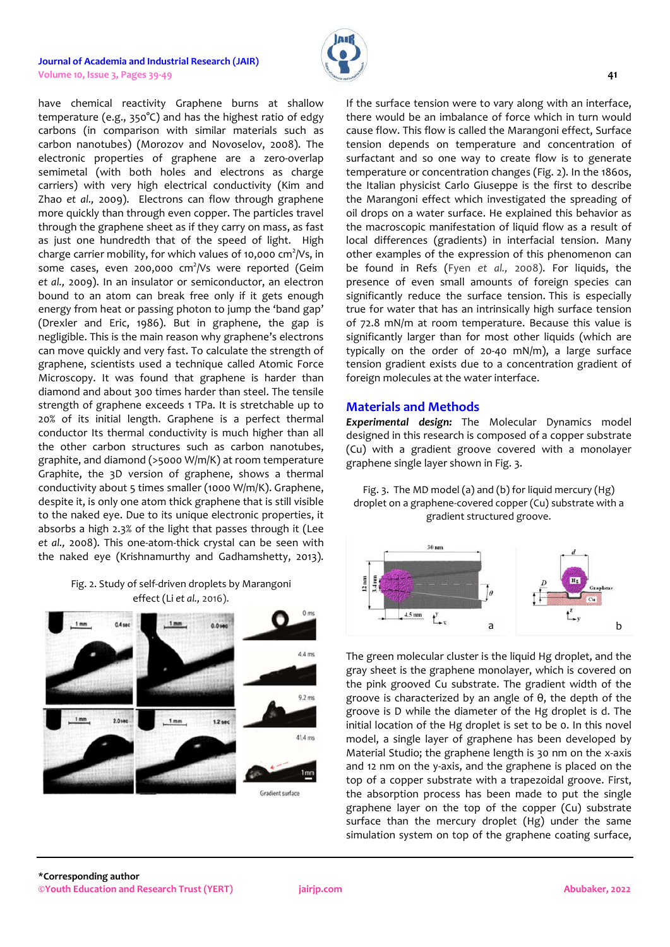

have chemical reactivity Graphene burns at shallow temperature (e.g., 350°C) and has the highest ratio of edgy carbons (in comparison with similar materials such as carbon nanotubes) (Morozov and Novoselov, 2008). The electronic properties of graphene are a zero-overlap semimetal (with both holes and electrons as charge carriers) with very high electrical conductivity (Kim and Zhao *et al.,* 2009). Electrons can flow through graphene more quickly than through even copper. The particles travel through the graphene sheet as if they carry on mass, as fast as just one hundredth that of the speed of light. High charge carrier mobility, for which values of 10,000  $\text{cm}^2\text{/Vs}$ , in some cases, even 200,000 cm<sup>2</sup>/Vs were reported (Geim *et al.,* 2009). In an insulator or semiconductor, an electron bound to an atom can break free only if it gets enough energy from heat or passing photon to jump the 'band gap' (Drexler and Eric, 1986). But in graphene, the gap is negligible. This is the main reason why graphene's electrons can move quickly and very fast. To calculate the strength of graphene, scientists used a technique called Atomic Force Microscopy. It was found that graphene is harder than diamond and about 300 times harder than steel. The tensile strength of graphene exceeds 1 TPa. It is stretchable up to 20% of its initial length. Graphene is a perfect thermal conductor Its thermal conductivity is much higher than all the other carbon structures such as carbon nanotubes, graphite, and diamond (>5000 W/m/K) at room temperature Graphite, the 3D version of graphene, shows a thermal conductivity about 5 times smaller (1000 W/m/K). Graphene, despite it, is only one atom thick graphene that is still visible to the naked eye. Due to its unique electronic properties, it absorbs a high 2.3% of the light that passes through it (Lee *et al.,* 2008). This one-atom-thick crystal can be seen with the naked eye (Krishnamurthy and Gadhamshetty, 2013).

# Fig. 2. Study of self-driven droplets by Marangoni effect (Li *et al.,* 2016).



If the surface tension were to vary along with an interface, there would be an imbalance of force which in turn would cause flow. This flow is called the Marangoni effect, Surface tension depends on temperature and concentration of surfactant and so one way to create flow is to generate temperature or concentration changes (Fig. 2). In the 1860s, the Italian physicist Carlo Giuseppe is the first to describe the Marangoni effect which investigated the spreading of oil drops on a water surface. He explained this behavior as the macroscopic manifestation of liquid flow as a result of local differences (gradients) in interfacial tension. Many other examples of the expression of this phenomenon can be found in Refs (Fyen *et al.,* 2008). For liquids, the presence of even small amounts of foreign species can significantly reduce the surface tension. This is especially true for water that has an intrinsically high surface tension of 72.8 mN/m at room temperature. Because this value is significantly larger than for most other liquids (which are typically on the order of 20-40 mN/m), a large surface tension gradient exists due to a concentration gradient of foreign molecules at the water interface.

# **Materials and Methods**

*Experimental design:* The Molecular Dynamics model designed in this research is composed of a copper substrate (Cu) with a gradient groove covered with a monolayer graphene single layer shown in Fig. 3.

Fig. 3. The MD model (a) and (b) for liquid mercury (Hg) droplet on a graphene-covered copper (Cu) substrate with a gradient structured groove.



The green molecular cluster is the liquid Hg droplet, and the gray sheet is the graphene monolayer, which is covered on the pink grooved Cu substrate. The gradient width of the groove is characterized by an angle of θ, the depth of the groove is D while the diameter of the Hg droplet is d. The initial location of the Hg droplet is set to be 0. In this novel model, a single layer of graphene has been developed by Material Studio; the graphene length is 30 nm on the x-axis and 12 nm on the y-axis, and the graphene is placed on the top of a copper substrate with a trapezoidal groove. First, the absorption process has been made to put the single graphene layer on the top of the copper (Cu) substrate surface than the mercury droplet (Hg) under the same simulation system on top of the graphene coating surface,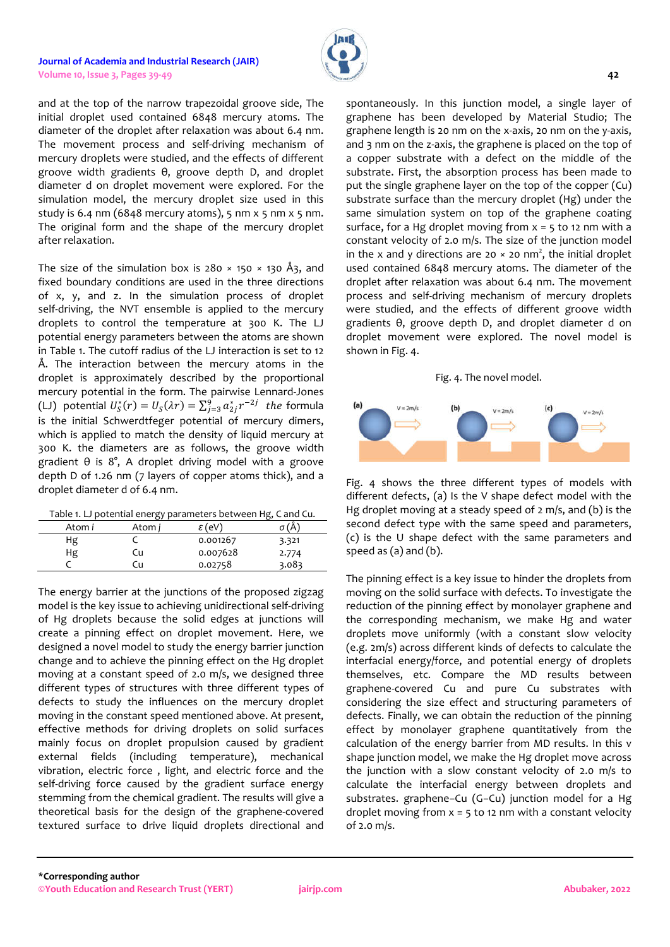

and at the top of the narrow trapezoidal groove side, The initial droplet used contained 6848 mercury atoms. The diameter of the droplet after relaxation was about 6.4 nm. The movement process and self-driving mechanism of mercury droplets were studied, and the effects of different groove width gradients θ, groove depth D, and droplet diameter d on droplet movement were explored. For the simulation model, the mercury droplet size used in this study is 6.4 nm (6848 mercury atoms), 5 nm  $x$  5 nm  $x$  5 nm. The original form and the shape of the mercury droplet after relaxation.

The size of the simulation box is  $280 \times 150 \times 130$  Å3, and fixed boundary conditions are used in the three directions of x, y, and z. In the simulation process of droplet self-driving, the NVT ensemble is applied to the mercury droplets to control the temperature at 300 K. The LJ potential energy parameters between the atoms are shown in Table 1. The cutoff radius of the LJ interaction is set to 12 Å. The interaction between the mercury atoms in the droplet is approximately described by the proportional mercury potential in the form. The pairwise Lennard-Jones (LJ) potential  $U_{\mathcal{S}}^*(r) = U_{\mathcal{S}}(\lambda r) = \sum_{j=3}^9 a_{2j}^* r^{-2j}$  the formula is the initial Schwerdtfeger potential of mercury dimers, which is applied to match the density of liquid mercury at 300 K. the diameters are as follows, the groove width gradient θ is 8°, A droplet driving model with a groove depth D of 1.26 nm (7 layers of copper atoms thick), and a droplet diameter d of 6.4 nm.

|  | Table 1. LJ potential energy parameters between Hg, C and Cu. |
|--|---------------------------------------------------------------|
|  |                                                               |

| 3.321 |  |
|-------|--|
| 2.774 |  |
| 3.083 |  |
|       |  |

The energy barrier at the junctions of the proposed zigzag model is the key issue to achieving unidirectional self-driving of Hg droplets because the solid edges at junctions will create a pinning effect on droplet movement. Here, we designed a novel model to study the energy barrier junction change and to achieve the pinning effect on the Hg droplet moving at a constant speed of 2.0 m/s, we designed three different types of structures with three different types of defects to study the influences on the mercury droplet moving in the constant speed mentioned above. At present, effective methods for driving droplets on solid surfaces mainly focus on droplet propulsion caused by gradient external fields (including temperature), mechanical vibration, electric force , light, and electric force and the self-driving force caused by the gradient surface energy stemming from the chemical gradient. The results will give a theoretical basis for the design of the graphene-covered textured surface to drive liquid droplets directional and

spontaneously. In this junction model, a single layer of graphene has been developed by Material Studio; The graphene length is 20 nm on the x-axis, 20 nm on the y-axis, and 3 nm on the z-axis, the graphene is placed on the top of a copper substrate with a defect on the middle of the substrate. First, the absorption process has been made to put the single graphene layer on the top of the copper (Cu) substrate surface than the mercury droplet (Hg) under the same simulation system on top of the graphene coating surface, for a Hg droplet moving from  $x = 5$  to 12 nm with a constant velocity of 2.0 m/s. The size of the junction model in the x and y directions are 20  $\times$  20 nm<sup>2</sup>, the initial droplet used contained 6848 mercury atoms. The diameter of the droplet after relaxation was about 6.4 nm. The movement process and self-driving mechanism of mercury droplets were studied, and the effects of different groove width gradients θ, groove depth D, and droplet diameter d on droplet movement were explored. The novel model is shown in Fig. 4.





Fig. 4 shows the three different types of models with different defects, (a) Is the V shape defect model with the Hg droplet moving at a steady speed of 2 m/s, and (b) is the second defect type with the same speed and parameters, (c) is the U shape defect with the same parameters and speed as (a) and (b).

The pinning effect is a key issue to hinder the droplets from moving on the solid surface with defects. To investigate the reduction of the pinning effect by monolayer graphene and the corresponding mechanism, we make Hg and water droplets move uniformly (with a constant slow velocity (e.g. 2m/s) across different kinds of defects to calculate the interfacial energy/force, and potential energy of droplets themselves, etc. Compare the MD results between graphene-covered Cu and pure Cu substrates with considering the size effect and structuring parameters of defects. Finally, we can obtain the reduction of the pinning effect by monolayer graphene quantitatively from the calculation of the energy barrier from MD results. In this v shape junction model, we make the Hg droplet move across the junction with a slow constant velocity of 2.0 m/s to calculate the interfacial energy between droplets and substrates. graphene−Cu (G−Cu) junction model for a Hg droplet moving from  $x = 5$  to 12 nm with a constant velocity of 2.0 m/s.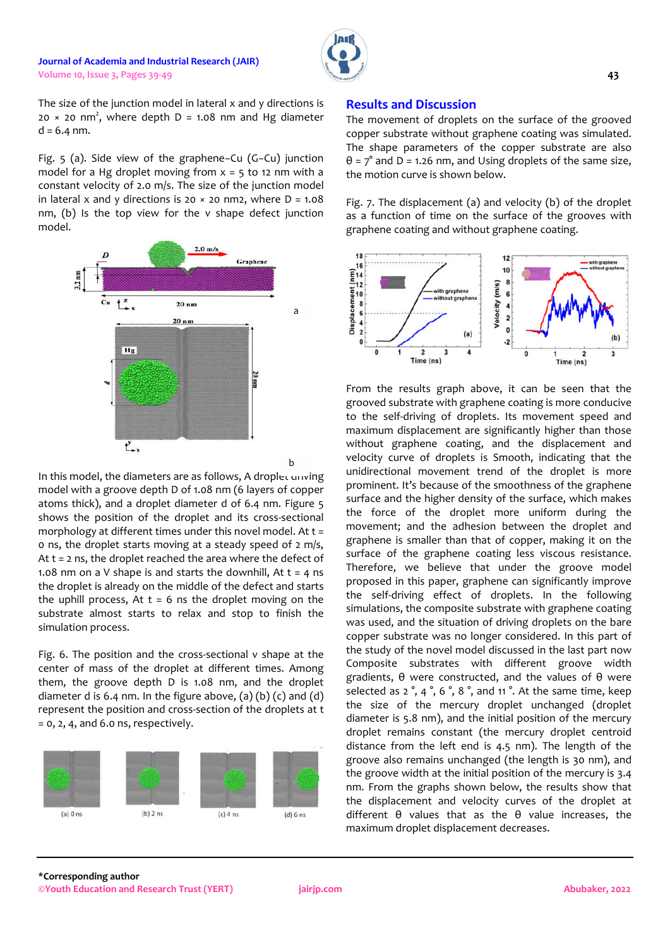

The size of the junction model in lateral x and y directions is  $20 \times 20$  nm<sup>2</sup>, where depth D = 1.08 nm and Hg diameter  $d = 6.4$  nm.

Fig. 5 (a). Side view of the graphene−Cu (G−Cu) junction model for a Hg droplet moving from  $x = 5$  to 12 nm with a constant velocity of 2.0 m/s. The size of the junction model in lateral x and y directions is 20  $\times$  20 nm2, where D = 1.08 nm, (b) Is the top view for the v shape defect junction model.



In this model, the diameters are as follows, A droplet driving model with a groove depth D of 1.08 nm (6 layers of copper atoms thick), and a droplet diameter d of 6.4 nm. Figure 5 shows the position of the droplet and its cross-sectional morphology at different times under this novel model. At  $t =$ 0 ns, the droplet starts moving at a steady speed of 2 m/s, At t = 2 ns, the droplet reached the area where the defect of 1.08 nm on a V shape is and starts the downhill, At  $t = 4$  ns the droplet is already on the middle of the defect and starts the uphill process, At  $t = 6$  ns the droplet moving on the substrate almost starts to relax and stop to finish the simulation process.

Fig. 6. The position and the cross-sectional v shape at the center of mass of the droplet at different times. Among them, the groove depth D is 1.08 nm, and the droplet diameter d is 6.4 nm. In the figure above,  $(a)$   $(b)$   $(c)$  and  $(d)$ represent the position and cross-section of the droplets at t = 0, 2, 4, and 6.0 ns, respectively.



# **Results and Discussion**

The movement of droplets on the surface of the grooved copper substrate without graphene coating was simulated. The shape parameters of the copper substrate are also  $\theta$  =  $7^\circ$  and D = 1.26 nm, and Using droplets of the same size, the motion curve is shown below.

Fig. 7. The displacement (a) and velocity (b) of the droplet as a function of time on the surface of the grooves with graphene coating and without graphene coating.



From the results graph above, it can be seen that the grooved substrate with graphene coating is more conducive to the self-driving of droplets. Its movement speed and maximum displacement are significantly higher than those without graphene coating, and the displacement and velocity curve of droplets is Smooth, indicating that the unidirectional movement trend of the droplet is more prominent. It's because of the smoothness of the graphene surface and the higher density of the surface, which makes the force of the droplet more uniform during the movement; and the adhesion between the droplet and graphene is smaller than that of copper, making it on the surface of the graphene coating less viscous resistance. Therefore, we believe that under the groove model proposed in this paper, graphene can significantly improve the self-driving effect of droplets. In the following simulations, the composite substrate with graphene coating was used, and the situation of driving droplets on the bare copper substrate was no longer considered. In this part of the study of the novel model discussed in the last part now Composite substrates with different groove width gradients, θ were constructed, and the values of θ were selected as 2 °, 4 °, 6 °, 8 °, and 11 °. At the same time, keep the size of the mercury droplet unchanged (droplet diameter is 5.8 nm), and the initial position of the mercury droplet remains constant (the mercury droplet centroid distance from the left end is 4.5 nm). The length of the groove also remains unchanged (the length is 30 nm), and the groove width at the initial position of the mercury is 3.4 nm. From the graphs shown below, the results show that the displacement and velocity curves of the droplet at different θ values that as the θ value increases, the maximum droplet displacement decreases.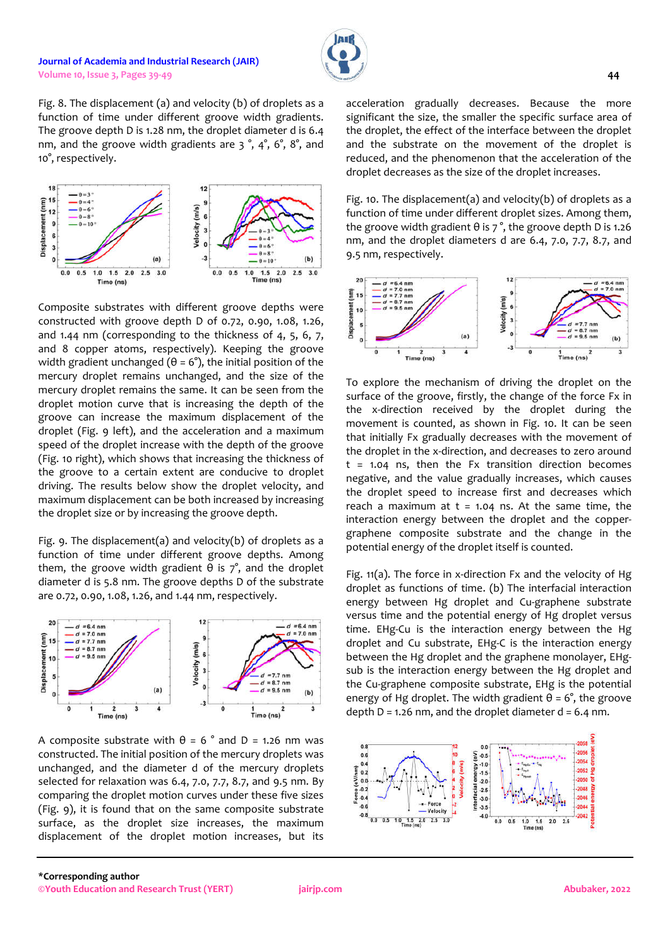Fig. 8. The displacement (a) and velocity (b) of droplets as a function of time under different groove width gradients. The groove depth D is 1.28 nm, the droplet diameter d is 6.4 nm, and the groove width gradients are 3 °, 4°, 6°, 8°, and 10°, respectively.



Composite substrates with different groove depths were constructed with groove depth D of 0.72, 0.90, 1.08, 1.26, and 1.44 nm (corresponding to the thickness of 4, 5, 6, 7, and 8 copper atoms, respectively). Keeping the groove width gradient unchanged ( $θ = 6°$ ), the initial position of the mercury droplet remains unchanged, and the size of the mercury droplet remains the same. It can be seen from the droplet motion curve that is increasing the depth of the groove can increase the maximum displacement of the droplet (Fig. 9 left), and the acceleration and a maximum speed of the droplet increase with the depth of the groove (Fig. 10 right), which shows that increasing the thickness of the groove to a certain extent are conducive to droplet driving. The results below show the droplet velocity, and maximum displacement can be both increased by increasing the droplet size or by increasing the groove depth.

Fig. 9. The displacement(a) and velocity(b) of droplets as a function of time under different groove depths. Among them, the groove width gradient  $θ$  is  $7°$ , and the droplet diameter d is 5.8 nm. The groove depths D of the substrate are 0.72, 0.90, 1.08, 1.26, and 1.44 nm, respectively.



A composite substrate with  $\theta = 6^\circ$  and D = 1.26 nm was constructed. The initial position of the mercury droplets was unchanged, and the diameter d of the mercury droplets selected for relaxation was 6.4, 7.0, 7.7, 8.7, and 9.5 nm. By comparing the droplet motion curves under these five sizes (Fig. 9), it is found that on the same composite substrate surface, as the droplet size increases, the maximum displacement of the droplet motion increases, but its

acceleration gradually decreases. Because the more significant the size, the smaller the specific surface area of the droplet, the effect of the interface between the droplet and the substrate on the movement of the droplet is reduced, and the phenomenon that the acceleration of the droplet decreases as the size of the droplet increases.

Fig. 10. The displacement(a) and velocity(b) of droplets as a function of time under different droplet sizes. Among them, the groove width gradient  $\theta$  is  $7^\circ$ , the groove depth D is 1.26 nm, and the droplet diameters d are 6.4, 7.0, 7.7, 8.7, and 9.5 nm, respectively.



To explore the mechanism of driving the droplet on the surface of the groove, firstly, the change of the force Fx in the x-direction received by the droplet during the movement is counted, as shown in Fig. 10. It can be seen that initially Fx gradually decreases with the movement of the droplet in the x-direction, and decreases to zero around  $t = 1.04$  ns, then the Fx transition direction becomes negative, and the value gradually increases, which causes the droplet speed to increase first and decreases which reach a maximum at  $t = 1.04$  ns. At the same time, the interaction energy between the droplet and the coppergraphene composite substrate and the change in the potential energy of the droplet itself is counted.

Fig. 11(a). The force in x-direction Fx and the velocity of Hg droplet as functions of time. (b) The interfacial interaction energy between Hg droplet and Cu-graphene substrate versus time and the potential energy of Hg droplet versus time. EHg-Cu is the interaction energy between the Hg droplet and Cu substrate, EHg-C is the interaction energy between the Hg droplet and the graphene monolayer, EHgsub is the interaction energy between the Hg droplet and the Cu-graphene composite substrate, EHg is the potential energy of Hg droplet. The width gradient  $\theta = 6^\circ$ , the groove depth  $D = 1.26$  nm, and the droplet diameter  $d = 6.4$  nm.

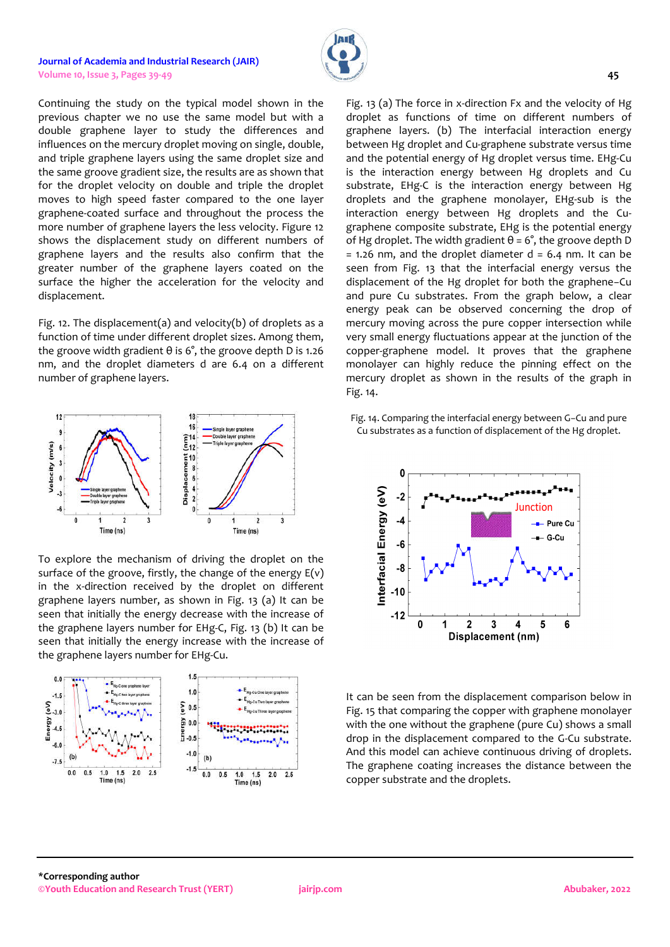

Continuing the study on the typical model shown in the previous chapter we no use the same model but with a double graphene layer to study the differences and influences on the mercury droplet moving on single, double, and triple graphene layers using the same droplet size and the same groove gradient size, the results are as shown that for the droplet velocity on double and triple the droplet moves to high speed faster compared to the one layer graphene-coated surface and throughout the process the more number of graphene layers the less velocity. Figure 12 shows the displacement study on different numbers of graphene layers and the results also confirm that the greater number of the graphene layers coated on the surface the higher the acceleration for the velocity and displacement.

Fig. 12. The displacement(a) and velocity(b) of droplets as a function of time under different droplet sizes. Among them, the groove width gradient  $θ$  is  $6°$ , the groove depth D is 1.26 nm, and the droplet diameters d are 6.4 on a different number of graphene layers.



To explore the mechanism of driving the droplet on the surface of the groove, firstly, the change of the energy  $E(v)$ in the x-direction received by the droplet on different graphene layers number, as shown in Fig. 13 (a) It can be seen that initially the energy decrease with the increase of the graphene layers number for EHg-C, Fig. 13 (b) It can be seen that initially the energy increase with the increase of the graphene layers number for EHg-Cu.



Fig. 13 (a) The force in x-direction Fx and the velocity of Hg droplet as functions of time on different numbers of graphene layers. (b) The interfacial interaction energy between Hg droplet and Cu-graphene substrate versus time and the potential energy of Hg droplet versus time. EHg-Cu is the interaction energy between Hg droplets and Cu substrate, EHg-C is the interaction energy between Hg droplets and the graphene monolayer, EHg-sub is the interaction energy between Hg droplets and the Cugraphene composite substrate, EHg is the potential energy of Hg droplet. The width gradient  $θ = 6°$ , the groove depth D  $= 1.26$  nm, and the droplet diameter d  $= 6.4$  nm. It can be seen from Fig. 13 that the interfacial energy versus the displacement of the Hg droplet for both the graphene−Cu and pure Cu substrates. From the graph below, a clear energy peak can be observed concerning the drop of mercury moving across the pure copper intersection while very small energy fluctuations appear at the junction of the copper-graphene model. It proves that the graphene monolayer can highly reduce the pinning effect on the mercury droplet as shown in the results of the graph in Fig. 14.

Fig. 14. Comparing the interfacial energy between G−Cu and pure Cu substrates as a function of displacement of the Hg droplet.



It can be seen from the displacement comparison below in Fig. 15 that comparing the copper with graphene monolayer with the one without the graphene (pure Cu) shows a small drop in the displacement compared to the G-Cu substrate. And this model can achieve continuous driving of droplets. The graphene coating increases the distance between the copper substrate and the droplets.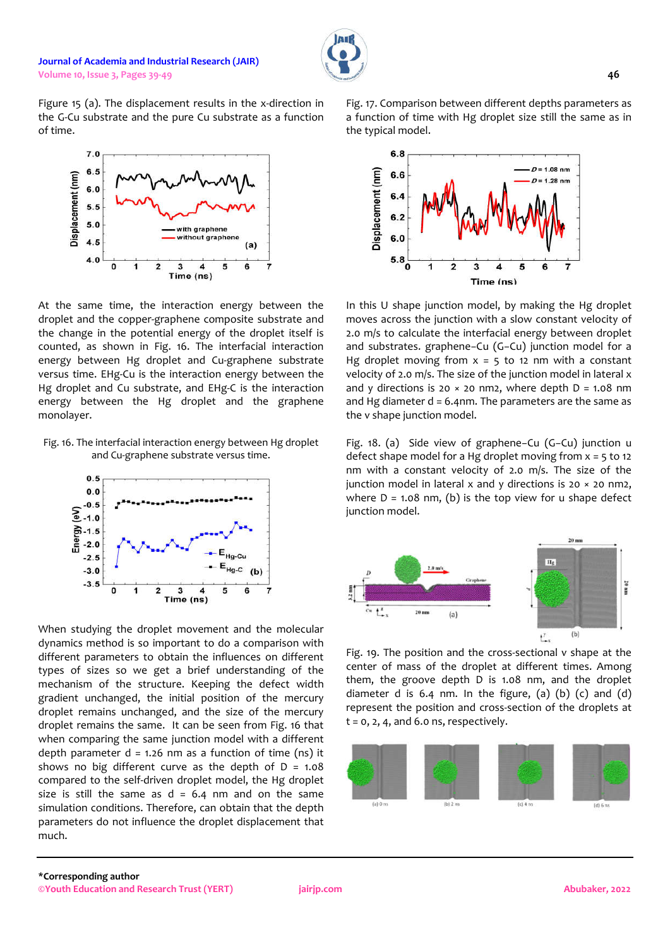Figure 15 (a). The displacement results in the x-direction in the G-Cu substrate and the pure Cu substrate as a function of time.



At the same time, the interaction energy between the droplet and the copper-graphene composite substrate and the change in the potential energy of the droplet itself is counted, as shown in Fig. 16. The interfacial interaction energy between Hg droplet and Cu-graphene substrate versus time. EHg-Cu is the interaction energy between the Hg droplet and Cu substrate, and EHg-C is the interaction energy between the Hg droplet and the graphene monolayer.

Fig. 16. The interfacial interaction energy between Hg droplet and Cu-graphene substrate versus time.



When studying the droplet movement and the molecular dynamics method is so important to do a comparison with different parameters to obtain the influences on different types of sizes so we get a brief understanding of the mechanism of the structure. Keeping the defect width gradient unchanged, the initial position of the mercury droplet remains unchanged, and the size of the mercury droplet remains the same. It can be seen from Fig. 16 that when comparing the same junction model with a different depth parameter  $d = 1.26$  nm as a function of time (ns) it shows no big different curve as the depth of  $D = 1.08$ compared to the self-driven droplet model, the Hg droplet size is still the same as  $d = 6.4$  nm and on the same simulation conditions. Therefore, can obtain that the depth parameters do not influence the droplet displacement that much.

Fig. 17. Comparison between different depths parameters as a function of time with Hg droplet size still the same as in the typical model.



In this U shape junction model, by making the Hg droplet moves across the junction with a slow constant velocity of 2.0 m/s to calculate the interfacial energy between droplet and substrates. graphene−Cu (G−Cu) junction model for a Hg droplet moving from  $x = 5$  to 12 nm with a constant velocity of 2.0 m/s. The size of the junction model in lateral x and y directions is 20  $\times$  20 nm2, where depth D = 1.08 nm and Hg diameter  $d = 6.4$ nm. The parameters are the same as the v shape junction model.

Fig. 18. (a) Side view of graphene−Cu (G−Cu) junction u defect shape model for a Hg droplet moving from  $x = 5$  to 12 nm with a constant velocity of 2.0 m/s. The size of the junction model in lateral  $x$  and  $y$  directions is 20  $\times$  20 nm2, where  $D = 1.08$  nm, (b) is the top view for u shape defect junction model.



Fig. 19. The position and the cross-sectional v shape at the center of mass of the droplet at different times. Among them, the groove depth D is 1.08 nm, and the droplet diameter d is  $6.4$  nm. In the figure, (a) (b) (c) and (d) represent the position and cross-section of the droplets at  $t = 0, 2, 4$ , and 6.0 ns, respectively.

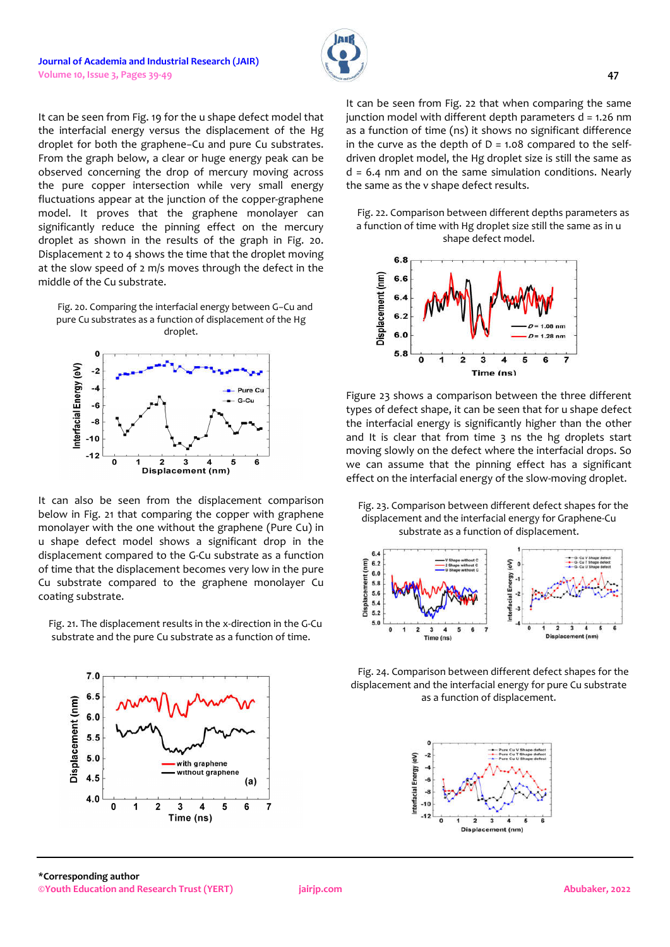It can be seen from Fig. 19 for the u shape defect model that the interfacial energy versus the displacement of the Hg droplet for both the graphene−Cu and pure Cu substrates. From the graph below, a clear or huge energy peak can be observed concerning the drop of mercury moving across the pure copper intersection while very small energy fluctuations appear at the junction of the copper-graphene model. It proves that the graphene monolayer can significantly reduce the pinning effect on the mercury droplet as shown in the results of the graph in Fig. 20. Displacement 2 to 4 shows the time that the droplet moving at the slow speed of 2 m/s moves through the defect in the middle of the Cu substrate.

Fig. 20. Comparing the interfacial energy between G−Cu and pure Cu substrates as a function of displacement of the Hg droplet.



It can also be seen from the displacement comparison below in Fig. 21 that comparing the copper with graphene monolayer with the one without the graphene (Pure Cu) in u shape defect model shows a significant drop in the displacement compared to the G-Cu substrate as a function of time that the displacement becomes very low in the pure Cu substrate compared to the graphene monolayer Cu coating substrate.

Fig. 21. The displacement results in the x-direction in the G-Cu substrate and the pure Cu substrate as a function of time.



It can be seen from Fig. 22 that when comparing the same junction model with different depth parameters  $d = 1.26$  nm as a function of time (ns) it shows no significant difference in the curve as the depth of  $D = 1.08$  compared to the selfdriven droplet model, the Hg droplet size is still the same as  $d = 6.4$  nm and on the same simulation conditions. Nearly the same as the v shape defect results.

Fig. 22. Comparison between different depths parameters as a function of time with Hg droplet size still the same as in u shape defect model.



Figure 23 shows a comparison between the three different types of defect shape, it can be seen that for u shape defect the interfacial energy is significantly higher than the other and It is clear that from time 3 ns the hg droplets start moving slowly on the defect where the interfacial drops. So we can assume that the pinning effect has a significant effect on the interfacial energy of the slow-moving droplet.

Fig. 23. Comparison between different defect shapes for the displacement and the interfacial energy for Graphene-Cu substrate as a function of displacement.



Fig. 24. Comparison between different defect shapes for the displacement and the interfacial energy for pure Cu substrate as a function of displacement.

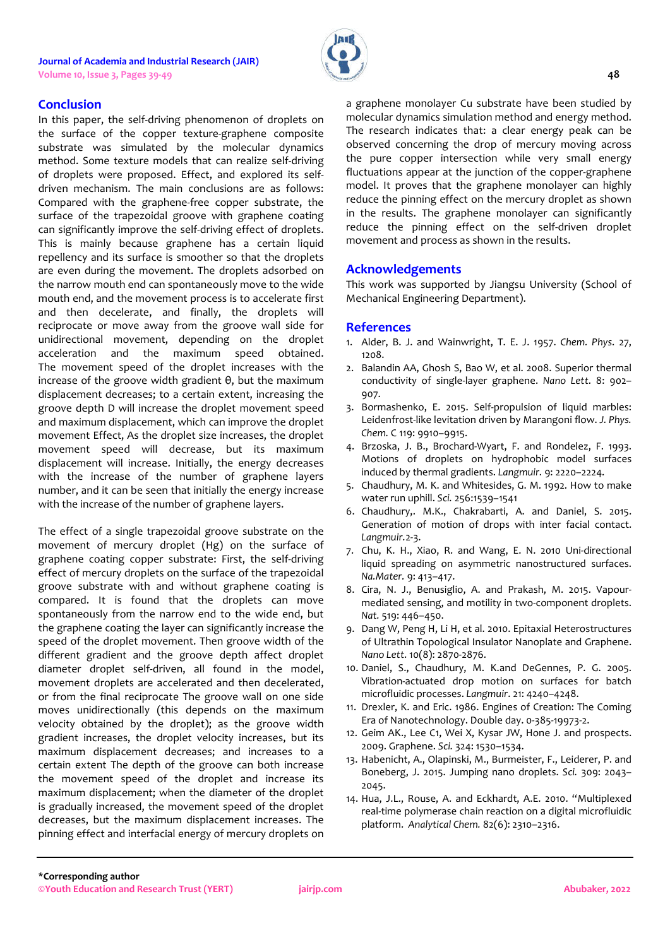

## **Conclusion**

In this paper, the self-driving phenomenon of droplets on the surface of the copper texture-graphene composite substrate was simulated by the molecular dynamics method. Some texture models that can realize self-driving of droplets were proposed. Effect, and explored its selfdriven mechanism. The main conclusions are as follows: Compared with the graphene-free copper substrate, the surface of the trapezoidal groove with graphene coating can significantly improve the self-driving effect of droplets. This is mainly because graphene has a certain liquid repellency and its surface is smoother so that the droplets are even during the movement. The droplets adsorbed on the narrow mouth end can spontaneously move to the wide mouth end, and the movement process is to accelerate first and then decelerate, and finally, the droplets will reciprocate or move away from the groove wall side for unidirectional movement, depending on the droplet acceleration and the maximum speed obtained. The movement speed of the droplet increases with the increase of the groove width gradient θ, but the maximum displacement decreases; to a certain extent, increasing the groove depth D will increase the droplet movement speed and maximum displacement, which can improve the droplet movement Effect, As the droplet size increases, the droplet movement speed will decrease, but its maximum displacement will increase. Initially, the energy decreases with the increase of the number of graphene layers number, and it can be seen that initially the energy increase with the increase of the number of graphene layers.

The effect of a single trapezoidal groove substrate on the movement of mercury droplet (Hg) on the surface of graphene coating copper substrate: First, the self-driving effect of mercury droplets on the surface of the trapezoidal groove substrate with and without graphene coating is compared. It is found that the droplets can move spontaneously from the narrow end to the wide end, but the graphene coating the layer can significantly increase the speed of the droplet movement. Then groove width of the different gradient and the groove depth affect droplet diameter droplet self-driven, all found in the model, movement droplets are accelerated and then decelerated, or from the final reciprocate The groove wall on one side moves unidirectionally (this depends on the maximum velocity obtained by the droplet); as the groove width gradient increases, the droplet velocity increases, but its maximum displacement decreases; and increases to a certain extent The depth of the groove can both increase the movement speed of the droplet and increase its maximum displacement; when the diameter of the droplet is gradually increased, the movement speed of the droplet decreases, but the maximum displacement increases. The pinning effect and interfacial energy of mercury droplets on

a graphene monolayer Cu substrate have been studied by molecular dynamics simulation method and energy method. The research indicates that: a clear energy peak can be observed concerning the drop of mercury moving across the pure copper intersection while very small energy fluctuations appear at the junction of the copper-graphene model. It proves that the graphene monolayer can highly reduce the pinning effect on the mercury droplet as shown in the results. The graphene monolayer can significantly reduce the pinning effect on the self-driven droplet movement and process as shown in the results.

## **Acknowledgements**

This work was supported by Jiangsu University (School of Mechanical Engineering Department).

## **References**

- 1. Alder, B. J. and Wainwright, T. E. J. 1957. *Chem. Phys*. 27, 1208.
- 2. Balandin AA, Ghosh S, Bao W, et al. 2008. Superior thermal conductivity of single-layer graphene. *Nano Lett*. 8: 902– 907.
- 3. Bormashenko, E. 2015. Self-propulsion of liquid marbles: Leidenfrost-like levitation driven by Marangoni flow. *J. Phys. Chem.* C 119: 9910–9915.
- 4. Brzoska, J. B., Brochard-Wyart, F. and Rondelez, F. 1993. Motions of droplets on hydrophobic model surfaces induced by thermal gradients. *Langmuir.* 9: 2220–2224.
- 5. Chaudhury, M. K. and Whitesides, G. M. 1992. How to make water run uphill. *Sci.* 256:1539–1541
- 6. Chaudhury,. M.K., Chakrabarti, A. and Daniel, S. 2015. Generation of motion of drops with inter facial contact. *Langmuir.*2-3.
- 7. Chu, K. H., Xiao, R. and Wang, E. N. 2010 Uni-directional liquid spreading on asymmetric nanostructured surfaces. *Na.Mater.* 9: 413–417.
- 8. Cira, N. J., Benusiglio, A. and Prakash, M. 2015. Vapourmediated sensing, and motility in two-component droplets. *Nat.* 519: 446–450.
- 9. Dang W, Peng H, Li H, et al. 2010. Epitaxial Heterostructures of Ultrathin Topological Insulator Nanoplate and Graphene. *Nano Lett*. 10(8): 2870-2876.
- 10. Daniel, S., Chaudhury, M. K.and DeGennes, P. G. 2005. Vibration-actuated drop motion on surfaces for batch microfluidic processes. *Langmuir*. 21: 4240–4248.
- 11. Drexler, K. and Eric. 1986. Engines of Creation: The Coming Era of Nanotechnology. Double day. 0-385-19973-2.
- 12. Geim AK., Lee C1, Wei X, Kysar JW, Hone J. and prospects. 2009. Graphene. *Sci.* 324: 1530–1534.
- 13. Habenicht, A., Olapinski, M., Burmeister, F., Leiderer, P. and Boneberg, J. 2015. Jumping nano droplets. *Sci.* 309: 2043– 2045.
- 14. Hua, J.L., Rouse, A. and Eckhardt, A.E. 2010. "Multiplexed real-time polymerase chain reaction on a digital microfluidic platform. *Analytical Chem.* 82(6): 2310–2316.